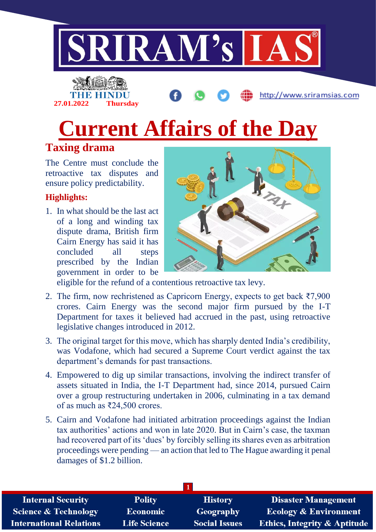

# **27.01.2022 Thursday**

**Current Affairs of the Day**

### **Taxing drama**

The Centre must conclude the retroactive tax disputes and ensure policy predictability.

#### **Highlights:**

1. In what should be the last act of a long and winding tax dispute drama, British firm Cairn Energy has said it has concluded all steps prescribed by the Indian government in order to be



http://www.sriramsias.com

eligible for the refund of a contentious retroactive tax levy.

- 2. The firm, now rechristened as Capricorn Energy, expects to get back ₹7,900 crores. Cairn Energy was the second major firm pursued by the I-T Department for taxes it believed had accrued in the past, using retroactive legislative changes introduced in 2012.
- 3. The original target for this move, which has sharply dented India's credibility, was Vodafone, which had secured a Supreme Court verdict against the tax department's demands for past transactions.
- 4. Empowered to dig up similar transactions, involving the indirect transfer of assets situated in India, the I-T Department had, since 2014, pursued Cairn over a group restructuring undertaken in 2006, culminating in a tax demand of as much as ₹24,500 crores.
- 5. Cairn and Vodafone had initiated arbitration proceedings against the Indian tax authorities' actions and won in late 2020. But in Cairn's case, the taxman had recovered part of its 'dues' by forcibly selling its shares even as arbitration proceedings were pending — an action that led to The Hague awarding it penal damages of \$1.2 billion.

| <b>Internal Security</b>        | <b>Polity</b>       | <b>History</b>       | <b>Disaster Management</b>              |
|---------------------------------|---------------------|----------------------|-----------------------------------------|
| <b>Science &amp; Technology</b> | <b>Economic</b>     | Geography            | <b>Ecology &amp; Environment</b>        |
| <b>International Relations</b>  | <b>Life Science</b> | <b>Social Issues</b> | <b>Ethics, Integrity &amp; Aptitude</b> |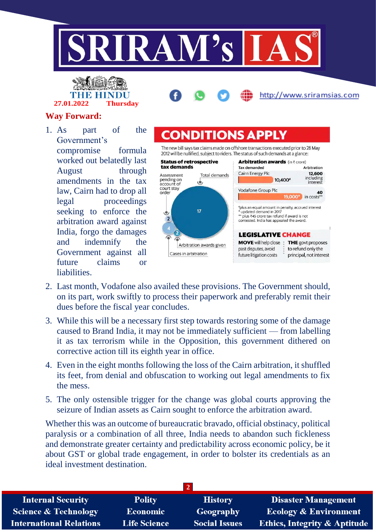



#### **Way Forward:**

1. As part of the Government's compromise formula worked out belatedly last August through amendments in the tax law, Cairn had to drop all legal proceedings seeking to enforce the arbitration award against India, forgo the damages and indemnify the Government against all future claims or liabilities.



## **CONDITIONS APPI**

The new bill says tax claims made on offshore transactions executed prior to 28 May 2012 will be nullified, subject to riders. The status of such demands at a glance:



- 2. Last month, Vodafone also availed these provisions. The Government should, on its part, work swiftly to process their paperwork and preferably remit their dues before the fiscal year concludes.
- 3. While this will be a necessary first step towards restoring some of the damage caused to Brand India, it may not be immediately sufficient — from labelling it as tax terrorism while in the Opposition, this government dithered on corrective action till its eighth year in office.
- 4. Even in the eight months following the loss of the Cairn arbitration, it shuffled its feet, from denial and obfuscation to working out legal amendments to fix the mess.
- 5. The only ostensible trigger for the change was global courts approving the seizure of Indian assets as Cairn sought to enforce the arbitration award.

Whether this was an outcome of bureaucratic bravado, official obstinacy, political paralysis or a combination of all three, India needs to abandon such fickleness and demonstrate greater certainty and predictability across economic policy, be it about GST or global trade engagement, in order to bolster its credentials as an ideal investment destination.

| <b>Polity</b>       | <b>History</b>       | <b>Disaster Management</b>              |
|---------------------|----------------------|-----------------------------------------|
| <b>Economic</b>     | Geography            | <b>Ecology &amp; Environment</b>        |
| <b>Life Science</b> | <b>Social Issues</b> | <b>Ethics, Integrity &amp; Aptitude</b> |
|                     |                      |                                         |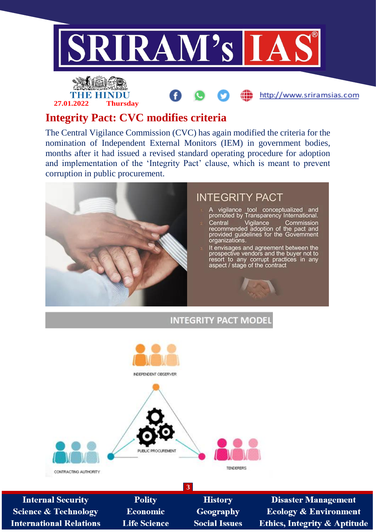





#### **Integrity Pact: CVC modifies criteria**

The Central Vigilance Commission (CVC) has again modified the criteria for the nomination of Independent External Monitors (IEM) in government bodies, months after it had issued a revised standard operating procedure for adoption and implementation of the 'Integrity Pact' clause, which is meant to prevent corruption in public procurement.



**INTEGRITY PACT MODEL** 



**Internal Security Science & Technology International Relations** 

**Polity Economic Life Science** 

**History** Geography **Social Issues** 

**3**

**Disaster Management Ecology & Environment** Ethics, Integrity & Aptitude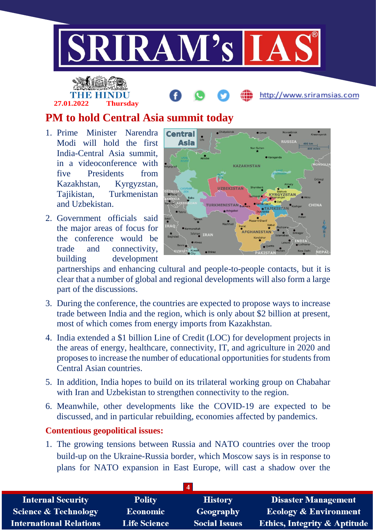

# **27.01.2022 Thursday**

http://www.sriramsias.com

### **PM to hold Central Asia summit today**

- 1. Prime Minister Narendra Modi will hold the first India-Central Asia summit, in a videoconference with five Presidents from Kazakhstan, Kyrgyzstan, Tajikistan, Turkmenistan and Uzbekistan.
- 2. Government officials said the major areas of focus for the conference would be trade and connectivity, building development



partnerships and enhancing cultural and people-to-people contacts, but it is clear that a number of global and regional developments will also form a large part of the discussions.

- 3. During the conference, the countries are expected to propose ways to increase trade between India and the region, which is only about \$2 billion at present, most of which comes from energy imports from Kazakhstan.
- 4. India extended a \$1 billion Line of Credit (LOC) for development projects in the areas of energy, healthcare, connectivity, IT, and agriculture in 2020 and proposes to increase the number of educational opportunities for students from Central Asian countries.
- 5. In addition, India hopes to build on its trilateral working group on Chabahar with Iran and Uzbekistan to strengthen connectivity to the region.
- 6. Meanwhile, other developments like the COVID-19 are expected to be discussed, and in particular rebuilding, economies affected by pandemics.

#### **Contentious geopolitical issues:**

1. The growing tensions between Russia and NATO countries over the troop build-up on the Ukraine-Russia border, which Moscow says is in response to plans for NATO expansion in East Europe, will cast a shadow over the

| <b>Internal Security</b>        | <b>Polity</b>       | <b>History</b>       | <b>Disaster Management</b>              |
|---------------------------------|---------------------|----------------------|-----------------------------------------|
| <b>Science &amp; Technology</b> | <b>Economic</b>     | Geography            | <b>Ecology &amp; Environment</b>        |
| <b>International Relations</b>  | <b>Life Science</b> | <b>Social Issues</b> | <b>Ethics, Integrity &amp; Aptitude</b> |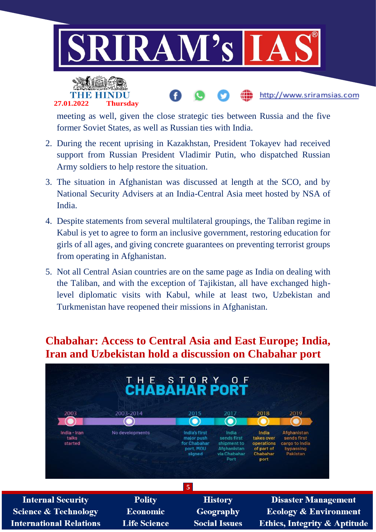



meeting as well, given the close strategic ties between Russia and the five former Soviet States, as well as Russian ties with India.

- 2. During the recent uprising in Kazakhstan, President Tokayev had received support from Russian President Vladimir Putin, who dispatched Russian Army soldiers to help restore the situation.
- 3. The situation in Afghanistan was discussed at length at the SCO, and by National Security Advisers at an India-Central Asia meet hosted by NSA of India.
- 4. Despite statements from several multilateral groupings, the Taliban regime in Kabul is yet to agree to form an inclusive government, restoring education for girls of all ages, and giving concrete guarantees on preventing terrorist groups from operating in Afghanistan.
- 5. Not all Central Asian countries are on the same page as India on dealing with the Taliban, and with the exception of Tajikistan, all have exchanged highlevel diplomatic visits with Kabul, while at least two, Uzbekistan and Turkmenistan have reopened their missions in Afghanistan.

#### **Chabahar: Access to Central Asia and East Europe; India, Iran and Uzbekistan hold a discussion on Chabahar port**



**Science & Technology International Relations** 

**Polity Economic Life Science** 

**History** Geography **Social Issues** 

**Disaster Management Ecology & Environment** Ethics, Integrity & Aptitude

http://www.sriramsias.com